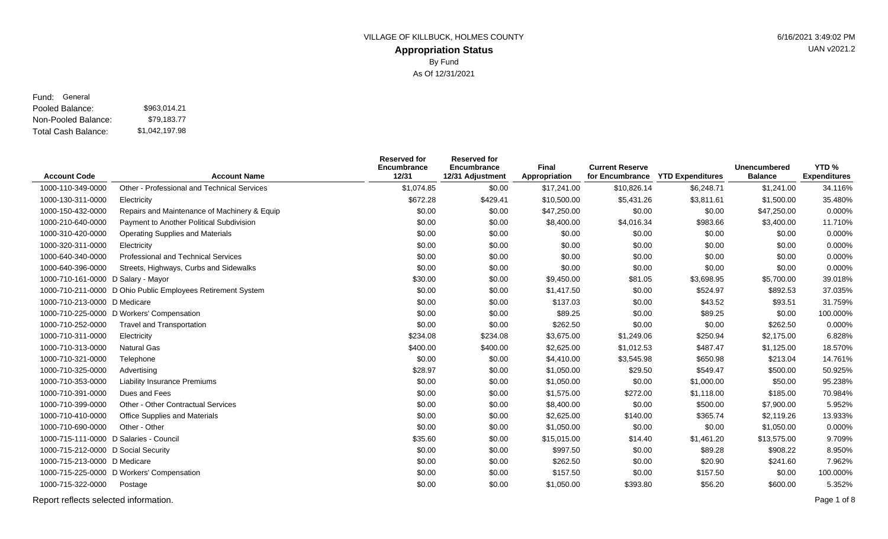## **Appropriation Status** VILLAGE OF KILLBUCK, HOLMES COUNTY **1998** 6/16/2021 3:49:02 PM By Fund As Of 12/31/2021

UAN v2021.2

#### Pooled Balance: \$963,014.21 Non-Pooled Balance: Fund: General

Total Cash Balance: \$79,183.77 \$1,042,197.98

|                                        |                                                             | <b>Reserved for</b><br><b>Encumbrance</b> | <b>Reserved for</b><br>Encumbrance | <b>Final</b>  | <b>Current Reserve</b> |                                  | <b>Unencumbered</b> | YTD <sub>%</sub>    |
|----------------------------------------|-------------------------------------------------------------|-------------------------------------------|------------------------------------|---------------|------------------------|----------------------------------|---------------------|---------------------|
| <b>Account Code</b>                    | <b>Account Name</b>                                         | 12/31                                     | 12/31 Adjustment                   | Appropriation |                        | for Encumbrance YTD Expenditures | <b>Balance</b>      | <b>Expenditures</b> |
| 1000-110-349-0000                      | Other - Professional and Technical Services                 | \$1,074.85                                | \$0.00                             | \$17,241.00   | \$10,826.14            | \$6,248.71                       | \$1,241.00          | 34.116%             |
| 1000-130-311-0000                      | Electricity                                                 | \$672.28                                  | \$429.41                           | \$10,500.00   | \$5,431.26             | \$3,811.61                       | \$1,500.00          | 35.480%             |
| 1000-150-432-0000                      | Repairs and Maintenance of Machinery & Equip                | \$0.00                                    | \$0.00                             | \$47,250.00   | \$0.00                 | \$0.00                           | \$47,250.00         | 0.000%              |
| 1000-210-640-0000                      | Payment to Another Political Subdivision                    | \$0.00                                    | \$0.00                             | \$8,400.00    | \$4,016.34             | \$983.66                         | \$3,400.00          | 11.710%             |
| 1000-310-420-0000                      | <b>Operating Supplies and Materials</b>                     | \$0.00                                    | \$0.00                             | \$0.00        | \$0.00                 | \$0.00                           | \$0.00              | 0.000%              |
| 1000-320-311-0000                      | Electricity                                                 | \$0.00                                    | \$0.00                             | \$0.00        | \$0.00                 | \$0.00                           | \$0.00              | 0.000%              |
| 1000-640-340-0000                      | <b>Professional and Technical Services</b>                  | \$0.00                                    | \$0.00                             | \$0.00        | \$0.00                 | \$0.00                           | \$0.00              | 0.000%              |
| 1000-640-396-0000                      | Streets, Highways, Curbs and Sidewalks                      | \$0.00                                    | \$0.00                             | \$0.00        | \$0.00                 | \$0.00                           | \$0.00              | 0.000%              |
| 1000-710-161-0000 D Salary - Mayor     |                                                             | \$30.00                                   | \$0.00                             | \$9,450.00    | \$81.05                | \$3,698.95                       | \$5,700.00          | 39.018%             |
|                                        | 1000-710-211-0000 D Ohio Public Employees Retirement System | \$0.00                                    | \$0.00                             | \$1,417.50    | \$0.00                 | \$524.97                         | \$892.53            | 37.035%             |
| 1000-710-213-0000 D Medicare           |                                                             | \$0.00                                    | \$0.00                             | \$137.03      | \$0.00                 | \$43.52                          | \$93.51             | 31.759%             |
|                                        | 1000-710-225-0000 D Workers' Compensation                   | \$0.00                                    | \$0.00                             | \$89.25       | \$0.00                 | \$89.25                          | \$0.00              | 100.000%            |
| 1000-710-252-0000                      | <b>Travel and Transportation</b>                            | \$0.00                                    | \$0.00                             | \$262.50      | \$0.00                 | \$0.00                           | \$262.50            | 0.000%              |
| 1000-710-311-0000                      | Electricity                                                 | \$234.08                                  | \$234.08                           | \$3,675.00    | \$1,249.06             | \$250.94                         | \$2,175.00          | 6.828%              |
| 1000-710-313-0000                      | <b>Natural Gas</b>                                          | \$400.00                                  | \$400.00                           | \$2,625.00    | \$1,012.53             | \$487.47                         | \$1,125.00          | 18.570%             |
| 1000-710-321-0000                      | Telephone                                                   | \$0.00                                    | \$0.00                             | \$4,410.00    | \$3,545.98             | \$650.98                         | \$213.04            | 14.761%             |
| 1000-710-325-0000                      | Advertising                                                 | \$28.97                                   | \$0.00                             | \$1,050.00    | \$29.50                | \$549.47                         | \$500.00            | 50.925%             |
| 1000-710-353-0000                      | Liability Insurance Premiums                                | \$0.00                                    | \$0.00                             | \$1,050.00    | \$0.00                 | \$1,000.00                       | \$50.00             | 95.238%             |
| 1000-710-391-0000                      | Dues and Fees                                               | \$0.00                                    | \$0.00                             | \$1,575.00    | \$272.00               | \$1,118.00                       | \$185.00            | 70.984%             |
| 1000-710-399-0000                      | <b>Other - Other Contractual Services</b>                   | \$0.00                                    | \$0.00                             | \$8,400.00    | \$0.00                 | \$500.00                         | \$7,900.00          | 5.952%              |
| 1000-710-410-0000                      | Office Supplies and Materials                               | \$0.00                                    | \$0.00                             | \$2,625.00    | \$140.00               | \$365.74                         | \$2,119.26          | 13.933%             |
| 1000-710-690-0000                      | Other - Other                                               | \$0.00                                    | \$0.00                             | \$1,050.00    | \$0.00                 | \$0.00                           | \$1,050.00          | 0.000%              |
| 1000-715-111-0000 D Salaries - Council |                                                             | \$35.60                                   | \$0.00                             | \$15,015.00   | \$14.40                | \$1,461.20                       | \$13,575.00         | 9.709%              |
| 1000-715-212-0000 D Social Security    |                                                             | \$0.00                                    | \$0.00                             | \$997.50      | \$0.00                 | \$89.28                          | \$908.22            | 8.950%              |
| 1000-715-213-0000 D Medicare           |                                                             | \$0.00                                    | \$0.00                             | \$262.50      | \$0.00                 | \$20.90                          | \$241.60            | 7.962%              |
|                                        | 1000-715-225-0000 D Workers' Compensation                   | \$0.00                                    | \$0.00                             | \$157.50      | \$0.00                 | \$157.50                         | \$0.00              | 100.000%            |
| 1000-715-322-0000                      | Postage                                                     | \$0.00                                    | \$0.00                             | \$1,050.00    | \$393.80               | \$56.20                          | \$600.00            | 5.352%              |

Report reflects selected information. Page 1 of 8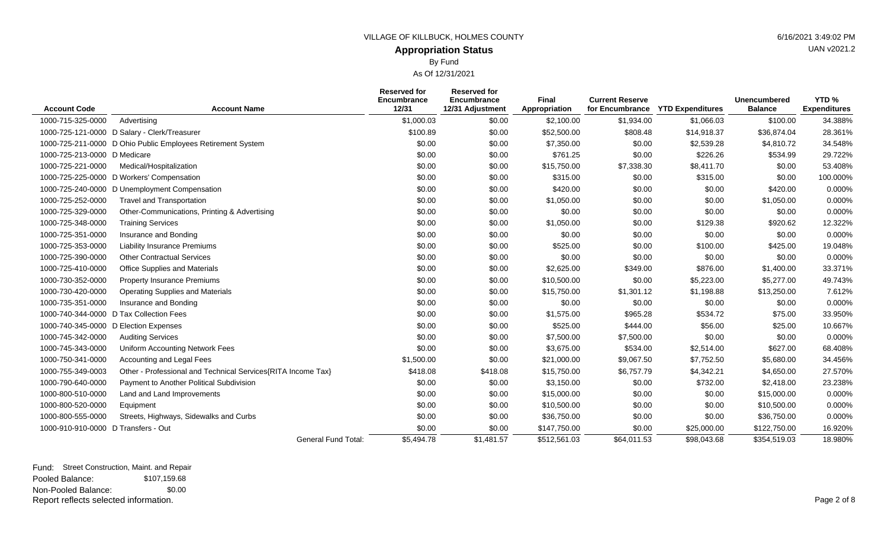# UAN v2021.2

**Appropriation Status** By Fund

| <b>Account Code</b>                   | <b>Account Name</b>                                          | <b>Reserved for</b><br>Encumbrance<br>12/31 | <b>Reserved for</b><br>Encumbrance<br>12/31 Adjustment | <b>Final</b><br>Appropriation | <b>Current Reserve</b><br>for Encumbrance | <b>YTD Expenditures</b> | <b>Unencumbered</b><br><b>Balance</b> | YTD <sub>%</sub><br><b>Expenditures</b> |
|---------------------------------------|--------------------------------------------------------------|---------------------------------------------|--------------------------------------------------------|-------------------------------|-------------------------------------------|-------------------------|---------------------------------------|-----------------------------------------|
| 1000-715-325-0000                     | Advertising                                                  | \$1,000.03                                  | \$0.00                                                 | \$2,100.00                    | \$1,934.00                                | \$1,066.03              | \$100.00                              | 34.388%                                 |
|                                       | 1000-725-121-0000 D Salary - Clerk/Treasurer                 | \$100.89                                    | \$0.00                                                 | \$52,500.00                   | \$808.48                                  | \$14,918.37             | \$36,874.04                           | 28.361%                                 |
|                                       | 1000-725-211-0000 D Ohio Public Employees Retirement System  | \$0.00                                      | \$0.00                                                 | \$7,350.00                    | \$0.00                                    | \$2,539.28              | \$4,810.72                            | 34.548%                                 |
| 1000-725-213-0000 D Medicare          |                                                              | \$0.00                                      | \$0.00                                                 | \$761.25                      | \$0.00                                    | \$226.26                | \$534.99                              | 29.722%                                 |
| 1000-725-221-0000                     | Medical/Hospitalization                                      | \$0.00                                      | \$0.00                                                 | \$15,750.00                   | \$7,338.30                                | \$8,411.70              | \$0.00                                | 53.408%                                 |
| 1000-725-225-0000                     | D Workers' Compensation                                      | \$0.00                                      | \$0.00                                                 | \$315.00                      | \$0.00                                    | \$315.00                | \$0.00                                | 100.000%                                |
|                                       | 1000-725-240-0000 D Unemployment Compensation                | \$0.00                                      | \$0.00                                                 | \$420.00                      | \$0.00                                    | \$0.00                  | \$420.00                              | 0.000%                                  |
| 1000-725-252-0000                     | <b>Travel and Transportation</b>                             | \$0.00                                      | \$0.00                                                 | \$1,050.00                    | \$0.00                                    | \$0.00                  | \$1,050.00                            | 0.000%                                  |
| 1000-725-329-0000                     | Other-Communications, Printing & Advertising                 | \$0.00                                      | \$0.00                                                 | \$0.00                        | \$0.00                                    | \$0.00                  | \$0.00                                | 0.000%                                  |
| 1000-725-348-0000                     | <b>Training Services</b>                                     | \$0.00                                      | \$0.00                                                 | \$1,050.00                    | \$0.00                                    | \$129.38                | \$920.62                              | 12.322%                                 |
| 1000-725-351-0000                     | Insurance and Bonding                                        | \$0.00                                      | \$0.00                                                 | \$0.00                        | \$0.00                                    | \$0.00                  | \$0.00                                | 0.000%                                  |
| 1000-725-353-0000                     | <b>Liability Insurance Premiums</b>                          | \$0.00                                      | \$0.00                                                 | \$525.00                      | \$0.00                                    | \$100.00                | \$425.00                              | 19.048%                                 |
| 1000-725-390-0000                     | <b>Other Contractual Services</b>                            | \$0.00                                      | \$0.00                                                 | \$0.00                        | \$0.00                                    | \$0.00                  | \$0.00                                | 0.000%                                  |
| 1000-725-410-0000                     | Office Supplies and Materials                                | \$0.00                                      | \$0.00                                                 | \$2,625.00                    | \$349.00                                  | \$876.00                | \$1,400.00                            | 33.371%                                 |
| 1000-730-352-0000                     | <b>Property Insurance Premiums</b>                           | \$0.00                                      | \$0.00                                                 | \$10,500.00                   | \$0.00                                    | \$5,223.00              | \$5,277.00                            | 49.743%                                 |
| 1000-730-420-0000                     | <b>Operating Supplies and Materials</b>                      | \$0.00                                      | \$0.00                                                 | \$15,750.00                   | \$1,301.12                                | \$1,198.88              | \$13,250.00                           | 7.612%                                  |
| 1000-735-351-0000                     | Insurance and Bonding                                        | \$0.00                                      | \$0.00                                                 | \$0.00                        | \$0.00                                    | \$0.00                  | \$0.00                                | 0.000%                                  |
|                                       | 1000-740-344-0000 D Tax Collection Fees                      | \$0.00                                      | \$0.00                                                 | \$1,575.00                    | \$965.28                                  | \$534.72                | \$75.00                               | 33.950%                                 |
| 1000-740-345-0000 D Election Expenses |                                                              | \$0.00                                      | \$0.00                                                 | \$525.00                      | \$444.00                                  | \$56.00                 | \$25.00                               | 10.667%                                 |
| 1000-745-342-0000                     | <b>Auditing Services</b>                                     | \$0.00                                      | \$0.00                                                 | \$7,500.00                    | \$7,500.00                                | \$0.00                  | \$0.00                                | 0.000%                                  |
| 1000-745-343-0000                     | Uniform Accounting Network Fees                              | \$0.00                                      | \$0.00                                                 | \$3,675.00                    | \$534.00                                  | \$2,514.00              | \$627.00                              | 68.408%                                 |
| 1000-750-341-0000                     | Accounting and Legal Fees                                    | \$1,500.00                                  | \$0.00                                                 | \$21,000.00                   | \$9,067.50                                | \$7,752.50              | \$5,680.00                            | 34.456%                                 |
| 1000-755-349-0003                     | Other - Professional and Technical Services{RITA Income Tax} | \$418.08                                    | \$418.08                                               | \$15,750.00                   | \$6,757.79                                | \$4,342.21              | \$4,650.00                            | 27.570%                                 |
| 1000-790-640-0000                     | Payment to Another Political Subdivision                     | \$0.00                                      | \$0.00                                                 | \$3,150.00                    | \$0.00                                    | \$732.00                | \$2,418.00                            | 23.238%                                 |
| 1000-800-510-0000                     | Land and Land Improvements                                   | \$0.00                                      | \$0.00                                                 | \$15,000.00                   | \$0.00                                    | \$0.00                  | \$15,000.00                           | 0.000%                                  |
| 1000-800-520-0000                     | Equipment                                                    | \$0.00                                      | \$0.00                                                 | \$10,500.00                   | \$0.00                                    | \$0.00                  | \$10,500.00                           | 0.000%                                  |
| 1000-800-555-0000                     | Streets, Highways, Sidewalks and Curbs                       | \$0.00                                      | \$0.00                                                 | \$36,750.00                   | \$0.00                                    | \$0.00                  | \$36,750.00                           | 0.000%                                  |
| 1000-910-910-0000 D Transfers - Out   |                                                              | \$0.00                                      | \$0.00                                                 | \$147,750.00                  | \$0.00                                    | \$25,000.00             | \$122,750.00                          | 16.920%                                 |
|                                       | <b>General Fund Total:</b>                                   | \$5,494.78                                  | \$1,481.57                                             | \$512,561.03                  | \$64,011.53                               | \$98,043,68             | \$354,519.03                          | 18.980%                                 |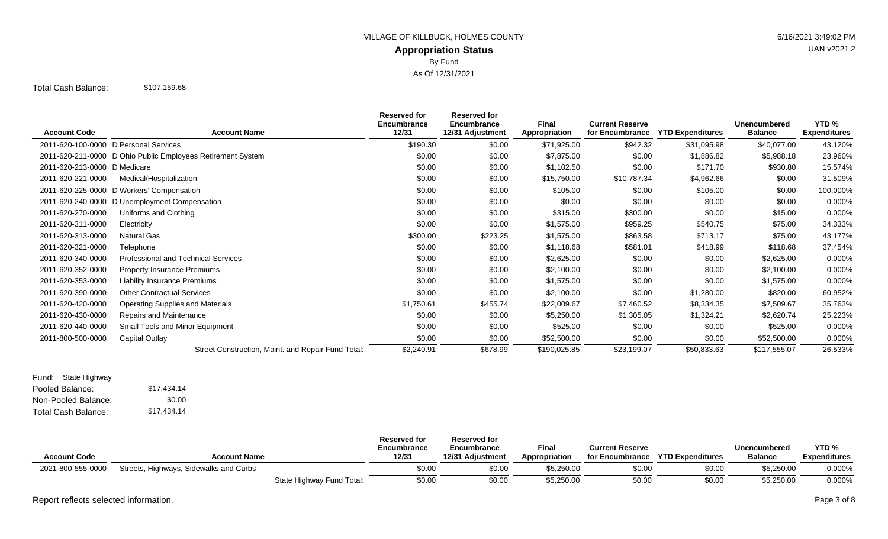## **Appropriation Status** VILLAGE OF KILLBUCK, HOLMES COUNTY **Example 2018** 12:49:02 PM By Fund As Of 12/31/2021

Total Cash Balance: \$107,159.68

| <b>Account Code</b>                   | <b>Account Name</b>                                         | <b>Reserved for</b><br><b>Encumbrance</b><br>12/31 | <b>Reserved for</b><br>Encumbrance<br>12/31 Adjustment | Final<br>Appropriation | <b>Current Reserve</b><br>for Encumbrance | <b>YTD Expenditures</b> | <b>Unencumbered</b><br><b>Balance</b> | YTD <sub>%</sub><br><b>Expenditures</b> |
|---------------------------------------|-------------------------------------------------------------|----------------------------------------------------|--------------------------------------------------------|------------------------|-------------------------------------------|-------------------------|---------------------------------------|-----------------------------------------|
| 2011-620-100-0000 D Personal Services |                                                             | \$190.30                                           | \$0.00                                                 | \$71,925.00            | \$942.32                                  | \$31,095.98             | \$40,077.00                           | 43.120%                                 |
|                                       | 2011-620-211-0000 D Ohio Public Employees Retirement System | \$0.00                                             | \$0.00                                                 | \$7,875.00             | \$0.00                                    | \$1,886.82              | \$5,988.18                            | 23.960%                                 |
| 2011-620-213-0000 D Medicare          |                                                             | \$0.00                                             | \$0.00                                                 | \$1,102.50             | \$0.00                                    | \$171.70                | \$930.80                              | 15.574%                                 |
| 2011-620-221-0000                     | Medical/Hospitalization                                     | \$0.00                                             | \$0.00                                                 | \$15,750.00            | \$10,787.34                               | \$4,962.66              | \$0.00                                | 31.509%                                 |
|                                       | 2011-620-225-0000 D Workers' Compensation                   | \$0.00                                             | \$0.00                                                 | \$105.00               | \$0.00                                    | \$105.00                | \$0.00                                | 100.000%                                |
|                                       | 2011-620-240-0000 D Unemployment Compensation               | \$0.00                                             | \$0.00                                                 | \$0.00                 | \$0.00                                    | \$0.00                  | \$0.00                                | 0.000%                                  |
| 2011-620-270-0000                     | Uniforms and Clothing                                       | \$0.00                                             | \$0.00                                                 | \$315.00               | \$300.00                                  | \$0.00                  | \$15.00                               | 0.000%                                  |
| 2011-620-311-0000                     | Electricity                                                 | \$0.00                                             | \$0.00                                                 | \$1,575.00             | \$959.25                                  | \$540.75                | \$75.00                               | 34.333%                                 |
| 2011-620-313-0000                     | <b>Natural Gas</b>                                          | \$300.00                                           | \$223.25                                               | \$1,575.00             | \$863.58                                  | \$713.17                | \$75.00                               | 43.177%                                 |
| 2011-620-321-0000                     | Telephone                                                   | \$0.00                                             | \$0.00                                                 | \$1,118.68             | \$581.01                                  | \$418.99                | \$118.68                              | 37.454%                                 |
| 2011-620-340-0000                     | Professional and Technical Services                         | \$0.00                                             | \$0.00                                                 | \$2,625.00             | \$0.00                                    | \$0.00                  | \$2,625.00                            | 0.000%                                  |
| 2011-620-352-0000                     | <b>Property Insurance Premiums</b>                          | \$0.00                                             | \$0.00                                                 | \$2,100.00             | \$0.00                                    | \$0.00                  | \$2,100.00                            | 0.000%                                  |
| 2011-620-353-0000                     | Liability Insurance Premiums                                | \$0.00                                             | \$0.00                                                 | \$1,575.00             | \$0.00                                    | \$0.00                  | \$1,575.00                            | 0.000%                                  |
| 2011-620-390-0000                     | <b>Other Contractual Services</b>                           | \$0.00                                             | \$0.00                                                 | \$2,100.00             | \$0.00                                    | \$1,280.00              | \$820.00                              | 60.952%                                 |
| 2011-620-420-0000                     | <b>Operating Supplies and Materials</b>                     | \$1,750.61                                         | \$455.74                                               | \$22,009.67            | \$7,460.52                                | \$8,334.35              | \$7,509.67                            | 35.763%                                 |
| 2011-620-430-0000                     | Repairs and Maintenance                                     | \$0.00                                             | \$0.00                                                 | \$5,250.00             | \$1,305.05                                | \$1,324.21              | \$2,620.74                            | 25.223%                                 |
| 2011-620-440-0000                     | Small Tools and Minor Equipment                             | \$0.00                                             | \$0.00                                                 | \$525.00               | \$0.00                                    | \$0.00                  | \$525.00                              | 0.000%                                  |
| 2011-800-500-0000                     | Capital Outlay                                              | \$0.00                                             | \$0.00                                                 | \$52,500.00            | \$0.00                                    | \$0.00                  | \$52,500.00                           | 0.000%                                  |
|                                       | Street Construction, Maint. and Repair Fund Total:          | \$2,240.91                                         | \$678.99                                               | \$190,025.85           | \$23,199.07                               | \$50,833.63             | \$117,555.07                          | 26.533%                                 |

Pooled Balance: \$17,434.14 Non-Pooled Balance: Total Cash Balance: Fund: State Highway \$0.00 \$17,434.14

|                     |                                        |                           | <b>Reserved for</b><br>Encumbrance | <b>Reserved for</b><br>Encumbrance | <b>Final</b>  | <b>Current Reserve</b> |                         | Unencumbered   | YTD <sub>%</sub>    |
|---------------------|----------------------------------------|---------------------------|------------------------------------|------------------------------------|---------------|------------------------|-------------------------|----------------|---------------------|
| <b>Account Code</b> | <b>Account Name</b>                    |                           | 12/31                              | 12/31 Adiustment                   | Appropriation | for Encumbrance        | <b>YTD Expenditures</b> | <b>Balance</b> | <b>Expenditures</b> |
| 2021-800-555-0000   | Streets, Highways, Sidewalks and Curbs |                           | \$0.00                             | \$0.00                             | \$5.250.00    | \$0.00                 | \$0.00                  | \$5,250.00     | $0.000\%$           |
|                     |                                        | State Highway Fund Total: | \$0.00                             | \$0.00                             | \$5,250.00    | \$0.00                 | \$0.00                  | \$5,250.00     | 0.000%              |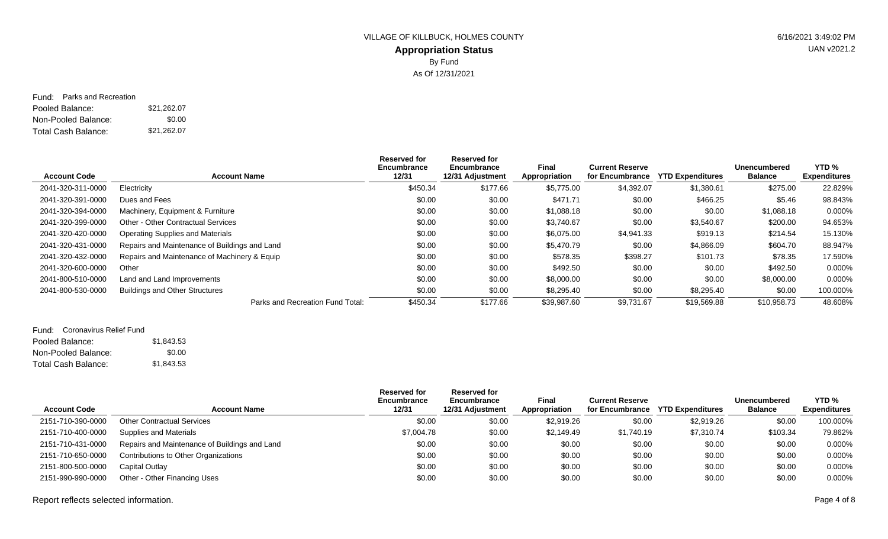## **Appropriation Status** VILLAGE OF KILLBUCK, HOLMES COUNTY 6/16/2021 3:49:02 PM By Fund As Of 12/31/2021

Pooled Balance: \$21,262.07 Non-Pooled Balance: Total Cash Balance: Fund: Parks and Recreation \$0.00 \$21,262.07

|                     |                                               | Reserved for<br>Encumbrance | Reserved for<br>Encumbrance | Final         | <b>Current Reserve</b> |                         | <b>Unencumbered</b> | YTD <sub>%</sub>    |
|---------------------|-----------------------------------------------|-----------------------------|-----------------------------|---------------|------------------------|-------------------------|---------------------|---------------------|
| <b>Account Code</b> | <b>Account Name</b>                           | 12/31                       | 12/31 Adjustment            | Appropriation | for Encumbrance        | <b>YTD Expenditures</b> | <b>Balance</b>      | <b>Expenditures</b> |
| 2041-320-311-0000   | Electricity                                   | \$450.34                    | \$177.66                    | \$5,775.00    | \$4,392.07             | \$1,380.61              | \$275.00            | 22.829%             |
| 2041-320-391-0000   | Dues and Fees                                 | \$0.00                      | \$0.00                      | \$471.71      | \$0.00                 | \$466.25                | \$5.46              | 98.843%             |
| 2041-320-394-0000   | Machinery, Equipment & Furniture              | \$0.00                      | \$0.00                      | \$1,088.18    | \$0.00                 | \$0.00                  | \$1,088.18          | 0.000%              |
| 2041-320-399-0000   | <b>Other - Other Contractual Services</b>     | \$0.00                      | \$0.00                      | \$3,740.67    | \$0.00                 | \$3,540.67              | \$200.00            | 94.653%             |
| 2041-320-420-0000   | Operating Supplies and Materials              | \$0.00                      | \$0.00                      | \$6,075.00    | \$4,941.33             | \$919.13                | \$214.54            | 15.130%             |
| 2041-320-431-0000   | Repairs and Maintenance of Buildings and Land | \$0.00                      | \$0.00                      | \$5,470.79    | \$0.00                 | \$4,866.09              | \$604.70            | 88.947%             |
| 2041-320-432-0000   | Repairs and Maintenance of Machinery & Equip  | \$0.00                      | \$0.00                      | \$578.35      | \$398.27               | \$101.73                | \$78.35             | 17.590%             |
| 2041-320-600-0000   | Other                                         | \$0.00                      | \$0.00                      | \$492.50      | \$0.00                 | \$0.00                  | \$492.50            | 0.000%              |
| 2041-800-510-0000   | Land and Land Improvements                    | \$0.00                      | \$0.00                      | \$8,000.00    | \$0.00                 | \$0.00                  | \$8,000.00          | 0.000%              |
| 2041-800-530-0000   | <b>Buildings and Other Structures</b>         | \$0.00                      | \$0.00                      | \$8,295.40    | \$0.00                 | \$8,295.40              | \$0.00              | 100.000%            |
|                     | Parks and Recreation Fund Total:              | \$450.34                    | \$177.66                    | \$39,987.60   | \$9,731.67             | \$19,569.88             | \$10,958.73         | 48.608%             |

#### Fund: Coronavirus Relief Fund

| Pooled Balance:     | \$1,843.53 |
|---------------------|------------|
| Non-Pooled Balance: | \$0.00     |
| Total Cash Balance: | \$1,843.53 |

| <b>Account Code</b> | <b>Account Name</b>                           | <b>Reserved for</b><br>Encumbrance<br>12/31 | <b>Reserved for</b><br>Encumbrance<br>12/31 Adjustment | Final<br>Appropriation | <b>Current Reserve</b><br>for Encumbrance | <b>YTD Expenditures</b> | <b>Unencumbered</b><br><b>Balance</b> | YTD <sub>%</sub><br><b>Expenditures</b> |
|---------------------|-----------------------------------------------|---------------------------------------------|--------------------------------------------------------|------------------------|-------------------------------------------|-------------------------|---------------------------------------|-----------------------------------------|
| 2151-710-390-0000   | <b>Other Contractual Services</b>             | \$0.00                                      | \$0.00                                                 | \$2,919.26             | \$0.00                                    | \$2,919.26              | \$0.00                                | 100.000%                                |
| 2151-710-400-0000   | Supplies and Materials                        | \$7,004.78                                  | \$0.00                                                 | \$2,149.49             | \$1,740.19                                | \$7,310.74              | \$103.34                              | 79.862%                                 |
| 2151-710-431-0000   | Repairs and Maintenance of Buildings and Land | \$0.00                                      | \$0.00                                                 | \$0.00                 | \$0.00                                    | \$0.00                  | \$0.00                                | 0.000%                                  |
| 2151-710-650-0000   | Contributions to Other Organizations          | \$0.00                                      | \$0.00                                                 | \$0.00                 | \$0.00                                    | \$0.00                  | \$0.00                                | 0.000%                                  |
| 2151-800-500-0000   | Capital Outlay                                | \$0.00                                      | \$0.00                                                 | \$0.00                 | \$0.00                                    | \$0.00                  | \$0.00                                | 0.000%                                  |
| 2151-990-990-0000   | Other - Other Financing Uses                  | \$0.00                                      | \$0.00                                                 | \$0.00                 | \$0.00                                    | \$0.00                  | \$0.00                                | 0.000%                                  |

Report reflects selected information. Page 4 of 8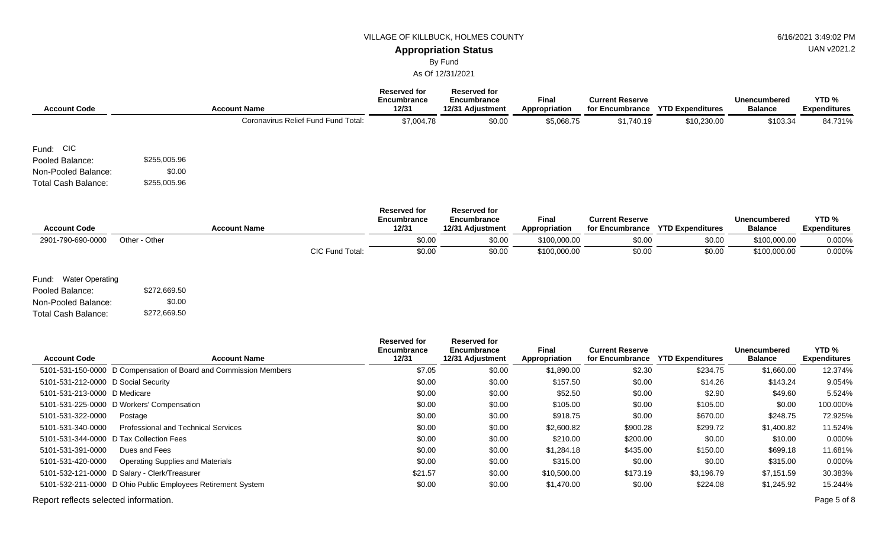#### **Appropriation Status**

By Fund

As Of 12/31/2021

| <b>Account Code</b>        |              | <b>Account Name</b>                 | <b>Reserved for</b><br>Encumbrance<br>12/31 | <b>Reserved for</b><br>Encumbrance<br>12/31 Adjustment | <b>Final</b><br>Appropriation | <b>Current Reserve</b><br>for Encumbrance | <b>YTD Expenditures</b> | <b>Unencumbered</b><br><b>Balance</b> | YTD <sub>%</sub><br><b>Expenditures</b> |
|----------------------------|--------------|-------------------------------------|---------------------------------------------|--------------------------------------------------------|-------------------------------|-------------------------------------------|-------------------------|---------------------------------------|-----------------------------------------|
|                            |              | Coronavirus Relief Fund Fund Total: | \$7,004.78                                  | \$0.00                                                 | \$5,068.75                    | \$1,740.19                                | \$10,230.00             | \$103.34                              | 84.731%                                 |
| Fund: CIC                  |              |                                     |                                             |                                                        |                               |                                           |                         |                                       |                                         |
| Pooled Balance:            | \$255,005.96 |                                     |                                             |                                                        |                               |                                           |                         |                                       |                                         |
| Non-Pooled Balance:        | \$0.00       |                                     |                                             |                                                        |                               |                                           |                         |                                       |                                         |
| <b>Total Cash Balance:</b> | \$255,005.96 |                                     |                                             |                                                        |                               |                                           |                         |                                       |                                         |

|                     |               |                     |                 | <b>Reserved for</b><br>Encumbrance | <b>Reserved for</b><br>Encumbrance | <b>Final</b>  | <b>Current Reserve</b> |                         | <b>Unencumbered</b> | YTD <sub>%</sub>    |
|---------------------|---------------|---------------------|-----------------|------------------------------------|------------------------------------|---------------|------------------------|-------------------------|---------------------|---------------------|
| <b>Account Code</b> |               | <b>Account Name</b> |                 | 12/31                              | 12/31 Adiustment                   | Appropriation | for Encumbrance        | <b>YTD Expenditures</b> | <b>Balance</b>      | <b>Expenditures</b> |
| 2901-790-690-0000   | Other - Other |                     |                 | \$0.00                             | \$0.00                             | \$100,000,00  | \$0.00                 | \$0.00                  | \$100,000.00        | 0.000%              |
|                     |               |                     | CIC Fund Total: | \$0.00                             | \$0.00                             | \$100,000.00  | \$0.00                 | \$0.00                  | \$100,000.00        | 0.000%              |

Fund: Water Operating

Pooled Balance: \$272,669.50 Non-Pooled Balance: Total Cash Balance: \$0.00 \$272,669.50

| <b>Account Code</b>                   | <b>Account Name</b>                                              | Reserved for<br>Encumbrance<br>12/31 | Reserved for<br>Encumbrance<br>12/31 Adjustment | Final<br>Appropriation | <b>Current Reserve</b><br>for Encumbrance | <b>YTD Expenditures</b> | <b>Unencumbered</b><br><b>Balance</b> | YTD <sub>%</sub><br><b>Expenditures</b> |
|---------------------------------------|------------------------------------------------------------------|--------------------------------------|-------------------------------------------------|------------------------|-------------------------------------------|-------------------------|---------------------------------------|-----------------------------------------|
|                                       | 5101-531-150-0000 D Compensation of Board and Commission Members | \$7.05                               | \$0.00                                          | \$1,890.00             | \$2.30                                    | \$234.75                | \$1,660.00                            | 12.374%                                 |
| 5101-531-212-0000 D Social Security   |                                                                  | \$0.00                               | \$0.00                                          | \$157.50               | \$0.00                                    | \$14.26                 | \$143.24                              | 9.054%                                  |
| 5101-531-213-0000 D Medicare          |                                                                  | \$0.00                               | \$0.00                                          | \$52.50                | \$0.00                                    | \$2.90                  | \$49.60                               | 5.524%                                  |
|                                       | 5101-531-225-0000 D Workers' Compensation                        | \$0.00                               | \$0.00                                          | \$105.00               | \$0.00                                    | \$105.00                | \$0.00                                | 100.000%                                |
| 5101-531-322-0000                     | Postage                                                          | \$0.00                               | \$0.00                                          | \$918.75               | \$0.00                                    | \$670.00                | \$248.75                              | 72.925%                                 |
| 5101-531-340-0000                     | <b>Professional and Technical Services</b>                       | \$0.00                               | \$0.00                                          | \$2,600.82             | \$900.28                                  | \$299.72                | \$1,400.82                            | 11.524%                                 |
|                                       | 5101-531-344-0000 D Tax Collection Fees                          | \$0.00                               | \$0.00                                          | \$210.00               | \$200.00                                  | \$0.00                  | \$10.00                               | 0.000%                                  |
| 5101-531-391-0000                     | Dues and Fees                                                    | \$0.00                               | \$0.00                                          | \$1,284.18             | \$435.00                                  | \$150.00                | \$699.18                              | 11.681%                                 |
| 5101-531-420-0000                     | <b>Operating Supplies and Materials</b>                          | \$0.00                               | \$0.00                                          | \$315.00               | \$0.00                                    | \$0.00                  | \$315.00                              | 0.000%                                  |
|                                       | 5101-532-121-0000 D Salary - Clerk/Treasurer                     | \$21.57                              | \$0.00                                          | \$10,500.00            | \$173.19                                  | \$3,196.79              | \$7,151.59                            | 30.383%                                 |
|                                       | 5101-532-211-0000 D Ohio Public Employees Retirement System      | \$0.00                               | \$0.00                                          | \$1,470.00             | \$0.00                                    | \$224.08                | \$1,245.92                            | 15.244%                                 |
| Report reflects selected information. |                                                                  |                                      |                                                 |                        |                                           |                         |                                       | Page 5 of 8                             |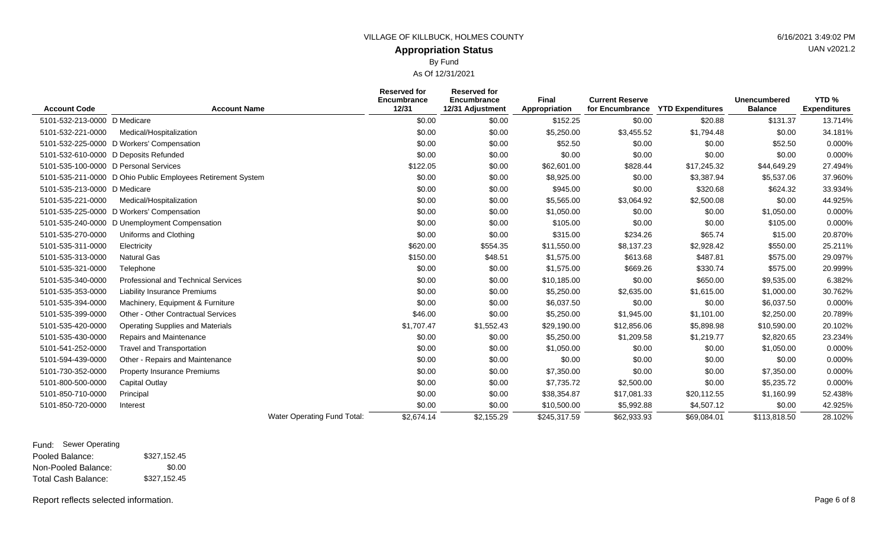#### VILLAGE OF KILLBUCK, HOLMES COUNTY **Example 20 and 20 and 20 and 20 and 20 and 30 and 30 and 40 and 40 and 40 and 40 and 40 and 40 and 40 and 40 and 40 and 40 and 40 and 40 and 40 and 40 and 40 and 40 and 40 and 40 and 40**

## **Appropriation Status** By Fund

| <b>Account Code</b>                   | <b>Account Name</b>                                         |                             | <b>Reserved for</b><br><b>Encumbrance</b><br>12/31 | <b>Reserved for</b><br><b>Encumbrance</b><br>12/31 Adjustment | <b>Final</b><br>Appropriation | <b>Current Reserve</b><br>for Encumbrance | <b>YTD Expenditures</b> | <b>Unencumbered</b><br><b>Balance</b> | YTD <sub>%</sub><br><b>Expenditures</b> |
|---------------------------------------|-------------------------------------------------------------|-----------------------------|----------------------------------------------------|---------------------------------------------------------------|-------------------------------|-------------------------------------------|-------------------------|---------------------------------------|-----------------------------------------|
| 5101-532-213-0000 D Medicare          |                                                             |                             | \$0.00                                             | \$0.00                                                        | \$152.25                      | \$0.00                                    | \$20.88                 | \$131.37                              | 13.714%                                 |
| 5101-532-221-0000                     | Medical/Hospitalization                                     |                             | \$0.00                                             | \$0.00                                                        | \$5,250.00                    | \$3,455.52                                | \$1,794.48              | \$0.00                                | 34.181%                                 |
| 5101-532-225-0000                     | D Workers' Compensation                                     |                             | \$0.00                                             | \$0.00                                                        | \$52.50                       | \$0.00                                    | \$0.00                  | \$52.50                               | 0.000%                                  |
| 5101-532-610-0000 D Deposits Refunded |                                                             |                             | \$0.00                                             | \$0.00                                                        | \$0.00                        | \$0.00                                    | \$0.00                  | \$0.00                                | 0.000%                                  |
| 5101-535-100-0000 D Personal Services |                                                             |                             | \$122.05                                           | \$0.00                                                        | \$62,601.00                   | \$828.44                                  | \$17,245.32             | \$44,649.29                           | 27.494%                                 |
|                                       | 5101-535-211-0000 D Ohio Public Employees Retirement System |                             | \$0.00                                             | \$0.00                                                        | \$8,925.00                    | \$0.00                                    | \$3,387.94              | \$5,537.06                            | 37.960%                                 |
| 5101-535-213-0000 D Medicare          |                                                             |                             | \$0.00                                             | \$0.00                                                        | \$945.00                      | \$0.00                                    | \$320.68                | \$624.32                              | 33.934%                                 |
| 5101-535-221-0000                     | Medical/Hospitalization                                     |                             | \$0.00                                             | \$0.00                                                        | \$5,565.00                    | \$3,064.92                                | \$2,500.08              | \$0.00                                | 44.925%                                 |
| 5101-535-225-0000                     | D Workers' Compensation                                     |                             | \$0.00                                             | \$0.00                                                        | \$1,050.00                    | \$0.00                                    | \$0.00                  | \$1,050.00                            | 0.000%                                  |
| 5101-535-240-0000                     | D Unemployment Compensation                                 |                             | \$0.00                                             | \$0.00                                                        | \$105.00                      | \$0.00                                    | \$0.00                  | \$105.00                              | 0.000%                                  |
| 5101-535-270-0000                     | Uniforms and Clothing                                       |                             | \$0.00                                             | \$0.00                                                        | \$315.00                      | \$234.26                                  | \$65.74                 | \$15.00                               | 20.870%                                 |
| 5101-535-311-0000                     | Electricity                                                 |                             | \$620.00                                           | \$554.35                                                      | \$11,550.00                   | \$8,137.23                                | \$2,928.42              | \$550.00                              | 25.211%                                 |
| 5101-535-313-0000                     | <b>Natural Gas</b>                                          |                             | \$150.00                                           | \$48.51                                                       | \$1,575.00                    | \$613.68                                  | \$487.81                | \$575.00                              | 29.097%                                 |
| 5101-535-321-0000                     | Telephone                                                   |                             | \$0.00                                             | \$0.00                                                        | \$1,575.00                    | \$669.26                                  | \$330.74                | \$575.00                              | 20.999%                                 |
| 5101-535-340-0000                     | <b>Professional and Technical Services</b>                  |                             | \$0.00                                             | \$0.00                                                        | \$10,185.00                   | \$0.00                                    | \$650.00                | \$9,535.00                            | 6.382%                                  |
| 5101-535-353-0000                     | <b>Liability Insurance Premiums</b>                         |                             | \$0.00                                             | \$0.00                                                        | \$5,250.00                    | \$2,635.00                                | \$1,615.00              | \$1,000.00                            | 30.762%                                 |
| 5101-535-394-0000                     | Machinery, Equipment & Furniture                            |                             | \$0.00                                             | \$0.00                                                        | \$6,037.50                    | \$0.00                                    | \$0.00                  | \$6,037.50                            | 0.000%                                  |
| 5101-535-399-0000                     | <b>Other - Other Contractual Services</b>                   |                             | \$46.00                                            | \$0.00                                                        | \$5,250.00                    | \$1,945.00                                | \$1,101.00              | \$2,250.00                            | 20.789%                                 |
| 5101-535-420-0000                     | <b>Operating Supplies and Materials</b>                     |                             | \$1,707.47                                         | \$1,552.43                                                    | \$29,190.00                   | \$12,856.06                               | \$5,898.98              | \$10,590.00                           | 20.102%                                 |
| 5101-535-430-0000                     | Repairs and Maintenance                                     |                             | \$0.00                                             | \$0.00                                                        | \$5,250.00                    | \$1,209.58                                | \$1,219.77              | \$2,820.65                            | 23.234%                                 |
| 5101-541-252-0000                     | <b>Travel and Transportation</b>                            |                             | \$0.00                                             | \$0.00                                                        | \$1,050.00                    | \$0.00                                    | \$0.00                  | \$1,050.00                            | 0.000%                                  |
| 5101-594-439-0000                     | Other - Repairs and Maintenance                             |                             | \$0.00                                             | \$0.00                                                        | \$0.00                        | \$0.00                                    | \$0.00                  | \$0.00                                | 0.000%                                  |
| 5101-730-352-0000                     | <b>Property Insurance Premiums</b>                          |                             | \$0.00                                             | \$0.00                                                        | \$7,350.00                    | \$0.00                                    | \$0.00                  | \$7,350.00                            | 0.000%                                  |
| 5101-800-500-0000                     | Capital Outlay                                              |                             | \$0.00                                             | \$0.00                                                        | \$7,735.72                    | \$2,500.00                                | \$0.00                  | \$5,235.72                            | 0.000%                                  |
| 5101-850-710-0000                     | Principal                                                   |                             | \$0.00                                             | \$0.00                                                        | \$38,354.87                   | \$17,081.33                               | \$20,112.55             | \$1,160.99                            | 52.438%                                 |
| 5101-850-720-0000                     | Interest                                                    |                             | \$0.00                                             | \$0.00                                                        | \$10,500.00                   | \$5,992.88                                | \$4,507.12              | \$0.00                                | 42.925%                                 |
|                                       |                                                             | Water Operating Fund Total: | \$2,674.14                                         | \$2,155.29                                                    | \$245,317.59                  | \$62,933.93                               | \$69,084.01             | \$113,818.50                          | 28.102%                                 |

| Fund: Sewer Operating |              |
|-----------------------|--------------|
| Pooled Balance:       | \$327.152.45 |
| Non-Pooled Balance:   | \$0.00       |
| Total Cash Balance:   | \$327.152.45 |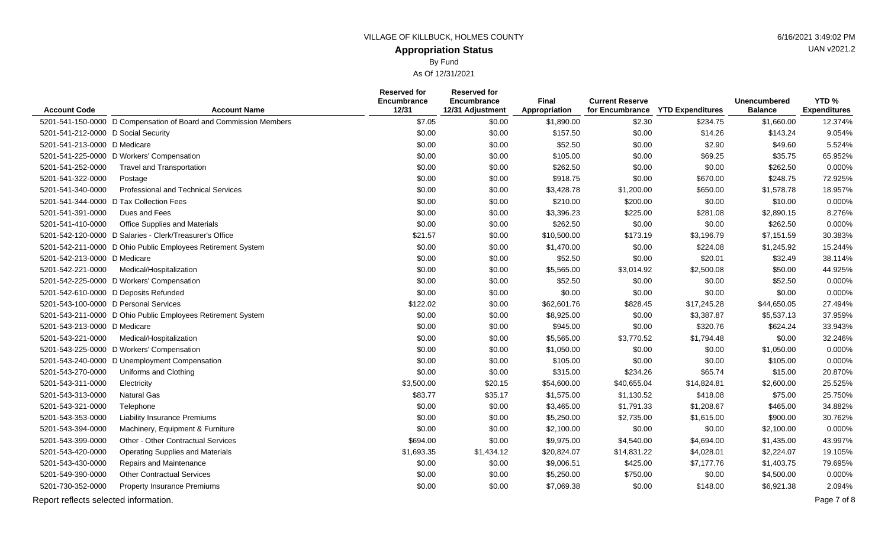## **Appropriation Status**

By Fund

|                                       |                                                                  | Reserved for         | Reserved for                    |                               |                                           |                         |                                       |                                         |
|---------------------------------------|------------------------------------------------------------------|----------------------|---------------------------------|-------------------------------|-------------------------------------------|-------------------------|---------------------------------------|-----------------------------------------|
| <b>Account Code</b>                   | <b>Account Name</b>                                              | Encumbrance<br>12/31 | Encumbrance<br>12/31 Adjustment | <b>Final</b><br>Appropriation | <b>Current Reserve</b><br>for Encumbrance | <b>YTD Expenditures</b> | <b>Unencumbered</b><br><b>Balance</b> | YTD <sub>%</sub><br><b>Expenditures</b> |
|                                       | 5201-541-150-0000 D Compensation of Board and Commission Members | \$7.05               | \$0.00                          | \$1,890.00                    | \$2.30                                    | \$234.75                | \$1,660.00                            | 12.374%                                 |
| 5201-541-212-0000 D Social Security   |                                                                  | \$0.00               | \$0.00                          | \$157.50                      | \$0.00                                    | \$14.26                 | \$143.24                              | 9.054%                                  |
| 5201-541-213-0000 D Medicare          |                                                                  | \$0.00               | \$0.00                          | \$52.50                       | \$0.00                                    | \$2.90                  | \$49.60                               | 5.524%                                  |
|                                       | 5201-541-225-0000 D Workers' Compensation                        | \$0.00               | \$0.00                          | \$105.00                      | \$0.00                                    | \$69.25                 | \$35.75                               | 65.952%                                 |
| 5201-541-252-0000                     | <b>Travel and Transportation</b>                                 | \$0.00               | \$0.00                          | \$262.50                      | \$0.00                                    | \$0.00                  | \$262.50                              | 0.000%                                  |
| 5201-541-322-0000                     | Postage                                                          | \$0.00               | \$0.00                          | \$918.75                      | \$0.00                                    | \$670.00                | \$248.75                              | 72.925%                                 |
| 5201-541-340-0000                     | Professional and Technical Services                              | \$0.00               | \$0.00                          | \$3,428.78                    | \$1,200.00                                | \$650.00                | \$1,578.78                            | 18.957%                                 |
| 5201-541-344-0000                     | D Tax Collection Fees                                            | \$0.00               | \$0.00                          | \$210.00                      | \$200.00                                  | \$0.00                  | \$10.00                               | 0.000%                                  |
| 5201-541-391-0000                     | Dues and Fees                                                    | \$0.00               | \$0.00                          | \$3,396.23                    | \$225.00                                  | \$281.08                | \$2,890.15                            | 8.276%                                  |
| 5201-541-410-0000                     | Office Supplies and Materials                                    | \$0.00               | \$0.00                          | \$262.50                      | \$0.00                                    | \$0.00                  | \$262.50                              | 0.000%                                  |
|                                       | 5201-542-120-0000 D Salaries - Clerk/Treasurer's Office          | \$21.57              | \$0.00                          | \$10,500.00                   | \$173.19                                  | \$3,196.79              | \$7,151.59                            | 30.383%                                 |
|                                       | 5201-542-211-0000 D Ohio Public Employees Retirement System      | \$0.00               | \$0.00                          | \$1,470.00                    | \$0.00                                    | \$224.08                | \$1,245.92                            | 15.244%                                 |
| 5201-542-213-0000 D Medicare          |                                                                  | \$0.00               | \$0.00                          | \$52.50                       | \$0.00                                    | \$20.01                 | \$32.49                               | 38.114%                                 |
| 5201-542-221-0000                     | Medical/Hospitalization                                          | \$0.00               | \$0.00                          | \$5,565.00                    | \$3,014.92                                | \$2,500.08              | \$50.00                               | 44.925%                                 |
|                                       | 5201-542-225-0000 D Workers' Compensation                        | \$0.00               | \$0.00                          | \$52.50                       | \$0.00                                    | \$0.00                  | \$52.50                               | 0.000%                                  |
| 5201-542-610-0000 D Deposits Refunded |                                                                  | \$0.00               | \$0.00                          | \$0.00                        | \$0.00                                    | \$0.00                  | \$0.00                                | 0.000%                                  |
| 5201-543-100-0000 D Personal Services |                                                                  | \$122.02             | \$0.00                          | \$62,601.76                   | \$828.45                                  | \$17,245.28             | \$44,650.05                           | 27.494%                                 |
|                                       | 5201-543-211-0000 D Ohio Public Employees Retirement System      | \$0.00               | \$0.00                          | \$8,925.00                    | \$0.00                                    | \$3,387.87              | \$5,537.13                            | 37.959%                                 |
| 5201-543-213-0000 D Medicare          |                                                                  | \$0.00               | \$0.00                          | \$945.00                      | \$0.00                                    | \$320.76                | \$624.24                              | 33.943%                                 |
| 5201-543-221-0000                     | Medical/Hospitalization                                          | \$0.00               | \$0.00                          | \$5,565.00                    | \$3,770.52                                | \$1,794.48              | \$0.00                                | 32.246%                                 |
|                                       | 5201-543-225-0000 D Workers' Compensation                        | \$0.00               | \$0.00                          | \$1,050.00                    | \$0.00                                    | \$0.00                  | \$1,050.00                            | 0.000%                                  |
|                                       | 5201-543-240-0000 D Unemployment Compensation                    | \$0.00               | \$0.00                          | \$105.00                      | \$0.00                                    | \$0.00                  | \$105.00                              | 0.000%                                  |
| 5201-543-270-0000                     | Uniforms and Clothing                                            | \$0.00               | \$0.00                          | \$315.00                      | \$234.26                                  | \$65.74                 | \$15.00                               | 20.870%                                 |
| 5201-543-311-0000                     | Electricity                                                      | \$3,500.00           | \$20.15                         | \$54,600.00                   | \$40,655.04                               | \$14,824.81             | \$2,600.00                            | 25.525%                                 |
| 5201-543-313-0000                     | <b>Natural Gas</b>                                               | \$83.77              | \$35.17                         | \$1,575.00                    | \$1,130.52                                | \$418.08                | \$75.00                               | 25.750%                                 |
| 5201-543-321-0000                     | Telephone                                                        | \$0.00               | \$0.00                          | \$3,465.00                    | \$1,791.33                                | \$1,208.67              | \$465.00                              | 34.882%                                 |
| 5201-543-353-0000                     | <b>Liability Insurance Premiums</b>                              | \$0.00               | \$0.00                          | \$5,250.00                    | \$2,735.00                                | \$1,615.00              | \$900.00                              | 30.762%                                 |
| 5201-543-394-0000                     | Machinery, Equipment & Furniture                                 | \$0.00               | \$0.00                          | \$2,100.00                    | \$0.00                                    | \$0.00                  | \$2,100.00                            | 0.000%                                  |
| 5201-543-399-0000                     | Other - Other Contractual Services                               | \$694.00             | \$0.00                          | \$9,975.00                    | \$4,540.00                                | \$4,694.00              | \$1,435.00                            | 43.997%                                 |
| 5201-543-420-0000                     | <b>Operating Supplies and Materials</b>                          | \$1,693.35           | \$1,434.12                      | \$20,824.07                   | \$14,831.22                               | \$4,028.01              | \$2,224.07                            | 19.105%                                 |
| 5201-543-430-0000                     | Repairs and Maintenance                                          | \$0.00               | \$0.00                          | \$9,006.51                    | \$425.00                                  | \$7,177.76              | \$1,403.75                            | 79.695%                                 |
| 5201-549-390-0000                     | <b>Other Contractual Services</b>                                | \$0.00               | \$0.00                          | \$5,250.00                    | \$750.00                                  | \$0.00                  | \$4,500.00                            | 0.000%                                  |
| 5201-730-352-0000                     | <b>Property Insurance Premiums</b>                               | \$0.00               | \$0.00                          | \$7,069.38                    | \$0.00                                    | \$148.00                | \$6,921.38                            | 2.094%                                  |
| Report reflects selected information. |                                                                  |                      |                                 |                               |                                           |                         |                                       | Page 7 of 8                             |